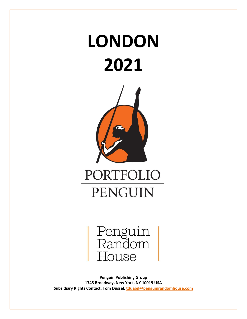# **LONDON 2021**





**Penguin Publishing Group 1745 Broadway, New York, NY 10019 USA Subsidiary Rights Contact: Tom Dussel, [tdussel@penguinrandomhouse.com](mailto:tdussel@penguinrandomhouse.com)**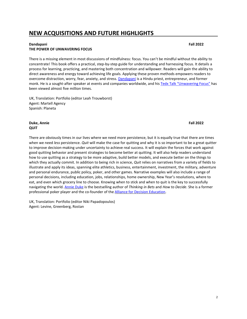# **NEW ACQUISITIONS AND FUTURE HIGHLIGHTS**

#### **Dandapani Fall 2022 THE POWER OF UNWAVERING FOCUS**

There is a missing element in most discussions of mindfulness: focus. You can't be mindful without the ability to concentrate! This book offers a practical, step-by-step guide for understanding and harnessing focus. It details a process for learning, practicing, and mastering both concentration and willpower. Readers will gain the ability to direct awareness and energy toward achieving life goals. Applying these proven methods empowers readers to overcome distraction, worry, fear, anxiety, and stress. [Dandapani](https://dandapani.org/) is a Hindu priest, entrepreneur, and former monk. He is a sought-after speaker at events and companies worldwide, and his Tedx Talk "[Unwavering Focus](https://youtu.be/4O2JK_94g3Y)" has been viewed almost five million times.

UK, Translation: Portfolio (editor Leah Trouwborst) Agent: Martell Agency Spanish: Planeta

#### **Duke, Annie Fall 2022 QUIT**

There are obviously times in our lives where we need more persistence, but it is equally true that there are times when we need *less* persistence. *Quit* will make the case for quitting and why it is so important to be a great quitter to improve decision-making under uncertainty to achieve real success. It will explain the forces that work against good quitting behavior and present strategies to become better at quitting. It will also help readers understand how to use quitting as a strategy to be more adaptive, build better models, and execute better on the things to which they actually commit. In addition to being rich in science, *Quit* relies on narratives from a variety of fields to illustrate and apply its ideas, spanning elite athletics, business, entertainment, investment, the military, adventure and personal endurance, public policy, poker, and other games. Narrative examples will also include a range of personal decisions, including education, jobs, relationships, home ownership, New Year's resolutions, where to eat, and even which grocery line to choose. Knowing when to stick and when to quit is the key to successfully navigating the world. [Annie](https://www.annieduke.com/) Duke is the bestselling author of *Thinking in Bets* and *How to Decide*. She is a former professional poker player and the co-founder of the Alliance for Decision [Education.](https://www.alliancefordecisioneducation.org/)

UK, Translation: Portfolio (editor Niki Papadopoulos) Agent: Levine, Greenberg, Rostan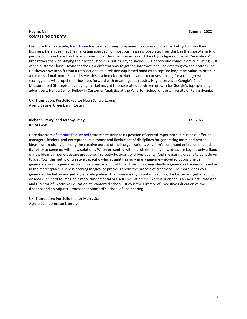#### **Hoyne, Neil Summer 2022 COMPETING ON DATA**

For more than a decade, Neil [Hoyne](https://twitter.com/neilhoyne) has been advising companies how to use digital marketing to grow their business. He argues that the marketing approach of most businesses is obsolete. They think in the short-term (did people purchase based on the ad offered up at this one moment?) and they try to figure out what "everybody" likes rather than identifying their best customers. But as Hoyne shows, 80% of revenue comes from cultivating 20% of the customer base. Hoyne teaches is a different way to gather, interpret, and use data to grow the bottom line. He shows how to shift from a transactional to a relationship-based mindset to capture long-term value. Written in a conversational, non-technical style, this is a book for marketers and executives looking for a clear growth strategy that will propel their business forward with unambiguous results. Hoyne serves as Google's Chief Measurement Strategist, leveraging market insight to accelerate data-driven growth for Google's top-spending advertisers. He is a Senior Fellow in Customer Analytics at the Wharton School of the University of Pennsylvania.

UK, Translation: Portfolio (editor Noah Schwartzberg) Agent: Levine, Greenberg, Rostan

#### **Klebahn, Perry, and Jeremy Utley Fall 2022 IDEAFLOW**

Here directors of Stanford'[s d.school](https://dschool.stanford.edu/) restore creativity to its position of central importance in business, offering managers, leaders, and entrepreneurs a robust and flexible set of disciplines for generating more and better ideas—dramatically boosting the creative output of their organizations. Any firm's continued existence depends on its ability to come up with new solutions. When presented with a problem, many new ideas are key, as only a flood of new ideas can generate one great one. In creativity, quantity drives quality. And measuring creativity boils down to *ideaflow*, the metric of creative capacity, which quantifies how many genuinely novel solutions one can generate around a given problem in a given amount of time. Thus improving ideaflow generates tremendous value in the marketplace. There is nothing magical or precious about the process of creativity. The more ideas you generate, the better you get at generating ideas. The more ideas you put into action, the better you get at acting on ideas. It's hard to imagine a more fundamental or useful skill at a time like this. Klebahn is an Adjunct Professor and Director of Executive Education at Stanford d.school. Utley is the Director of Executive Education at the d.school and an Adjunct Professor at Stanford's School of Engineering.

UK, Translation: Portfolio (editor Merry Sun) Agent: Lynn Johnston Literary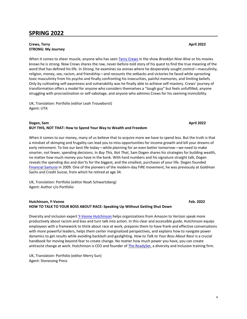#### **Crews, Terry April 2022 STRONG: My Journey**

When it comes to sheer muscle, anyone who has seen [Terry Crews](https://twitter.com/terrycrews) in the show *Brooklyn Nine-Nine* or his movies knows he is strong. Now Crews shares the raw, never-before-told story of his quest to find the true meaning of the word that has defined his life. In *Strong*, he examines six arenas where he desperately sought control—masculinity, religion, money, sex, racism, and friendship—and recounts the setbacks and victories he faced while uprooting toxic masculinity from his psyche and finally confronting his insecurities, painful memories, and limiting beliefs. Only by cultivating self-awareness and vulnerability was he finally able to achieve self-mastery. Crews' journey of transformation offers a model for anyone who considers themselves a "tough guy" but feels unfulfilled, anyone struggling with procrastination or self-sabotage, and anyone who admires Crews for his seeming invincibility.

UK, Translation: Portfolio (editor Leah Trouwborst) Agent: UTA

#### **Dogen, Sam April 2022 BUY THIS, NOT THAT: How to Spend Your Way to Wealth and Freedom**

When it comes to our money, many of us believe that to acquire more we have to spend less. But the truth is that a mindset of skimping and frugality can lead you to miss opportunities for income growth and kill your dreams of early retirement. To live our best life today—while planning for an even better tomorrow—we need to make smarter, not fewer, spending decisions. In *Buy This, Not That*, Sam Dogen shares his strategies for building wealth, no matter how much money you have in the bank. With hard numbers and his signature straight talk, Dogen reveals the spending dos and don'ts for the biggest, and the smallest, purchases of your life. Dogen founded [Financial Samurai](https://www.financialsamurai.com/) in 2009. One of the pioneers of the modern-day FIRE movement, he was previously at Goldman Sachs and Credit Suisse, from which he retired at age 34.

UK, Translation: Portfolio (editor Noah Schwartzberg) Agent: Author c/o Portfolio

#### **Hutchinson, Y-Vonne Feb. 2022 HOW TO TALK TO YOUR BOSS ABOUT RACE: Speaking Up Without Getting Shut Down**

Diversity and inclusion expert [Y-Vonne Hutchinson](https://twitter.com/hutchamachutch) helps organizations from Amazon to Verizon speak more productively about racism and bias and turn talk into action. In this clear and accessible guide, Hutchinson equips employees with a framework to think about race at work, prepares them to have frank and effective conversations with more powerful leaders, helps them center marginalized perspectives, and explains how to navigate power dynamics to get results while avoiding backlash and gaslighting. *How to Talk to Your Boss About Race* is a crucial handbook for moving beyond fear to create change. No matter how much power you have, you can create antiracist change at work. Hutchinson is CEO and founder of *The ReadySet*, a diversity and inclusion training firm.

UK, Translatoin: Portfolio (editor Merry Sun) Agent: Stonesong Press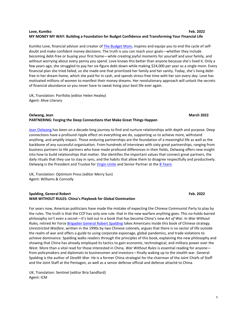#### **Love, Kumiko Feb. 2022 MY MONEY MY WAY: Building a Foundation for Budget Confidence and Transforming Your Financial Life**

Kumiko Love, financial advisor and creator of [The Budget Mom,](https://www.thebudgetmom.com/) inspires and equips you to end the cycle of selfdoubt and make confident money decisions. The truth is you can reach your goals—whether they include becoming debt-free or buying your first home—while creating joyful moments for yourself and your family, and without worrying about every penny you spend. Love knows this better than anyone because she's lived it. Only a few years ago, she struggled to pay her six-figure debt down while making \$24,000 per year as a single mom. Every financial plan she tried failed, so she made one that prioritized her family and her sanity. Today, she's living debtfree in her dream home, which she paid for in cash, and spends stress-free time with her son every day. Love has motivated millions of women to manifest their money dreams. Her revolutionary approach will unlock the secrets of financial abundance so you never have to sweat living your best life ever again.

UK, Translation: Portfolio (editor Helen Healey) Agent: Alive Literary

#### **Oelwang, Jean March 2022 PARTNERING: Forging the Deep Connections that Make Great Things Happen**

[Jean Oelwang](https://twitter.com/JeanOelwang) has been on a decade-long journey to find and nurture relationships with depth and purpose. Deep connections have a profound ripple effect on everything we do, supporting us to achieve more, withstand anything, and amplify impact. Those enduring partnerships are the foundation of a meaningful life as well as the backbone of any successful organization. From hundreds of interviews with sixty great partnerships, ranging from business partners to life partners who have made profound differences in their fields, Oelwang offers new insight into how to build relationships that matter. She identifies the important values that connect great partners, the daily rituals that they use to stay in sync, and the habits that allow them to disagree respectfully and productively. Oelwang is the President and Trustee for [Virgin Unite](https://unite.virgin.com/unite/) and Senior Partner at the [B Team.](https://bteam.org/)

UK, Translation: Optimism Press (editor Merry Sun) Agent: Williams & Connolly

#### **Spalding, General Robert Feb. 2022 WAR WITHOUT RULES: China's Playbook for Global Domination**

For years now, American politicians have made the mistake of expecting the Chinese Communist Party to play by the rules. The truth is that the CCP has only one rule: that in the new warfare anything goes. This no-holds-barred philosophy isn't even a secret—it's laid out in a book that has become China's new *Art of War.* In *War Without Rules,* retired Air Force [Brigadier General Robert](https://www.generalspalding.com/) Spalding takes Americans inside this book of Chinese strategy. *Unrestricted Warfare*, written in the 1990s by two Chinese colonels, argues that there is no sector of life outside the realm of war and offers a guide to using corporate espionage, global pandemics, and trade violations to achieve dominance. Spalding walks readers through the principles of this book, explaining the new philosophy and showing that China has already employed its tactics to gain economic, technological, and military power over the West. More than a vital read for those interested in China, *War Without Rules* is essential reading for anyone from policymakers and diplomats to businessmen and investors—finally waking up to the stealth war. General Spalding is the author of *Stealth War*. He is a former China strategist for the chairman of the Joint Chiefs of Staff and the Joint Staff at the Pentagon, as well as a senior defense official and defense attaché to China.

UK, Translation: Sentinel (editor Bria Sandford) Agent: ICM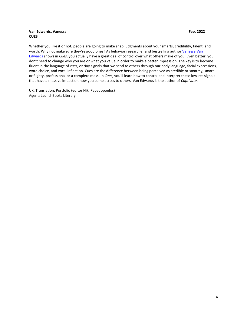#### **Van Edwards, Vanessa Feb. 2022 CUES**

Whether you like it or not, people are going to make snap judgments about your smarts, credibility, talent, and worth. Why not make sure they're good ones? As behavior researcher and bestselling author Vanessa Van [Edwards](https://www.scienceofpeople.com/) shows in *Cues*, you actually have a great deal of control over what others make of you. Even better, you don't need to change who you are or what you value in order to make a better impression. The key is to become fluent in the language of *cues*, or tiny signals that we send to others through our body language, facial expressions, word choice, and vocal inflection. Cues are the difference between being perceived as credible or smarmy, smart or flighty, professional or a complete mess. In *Cues*, you'll learn how to control and interpret these low-res signals that have a massive impact on how you come across to others. Van Edwards is the author of *Captivate*.

UK, Translation: Portfolio (editor Niki Papadopoulos) Agent: LaunchBooks Literary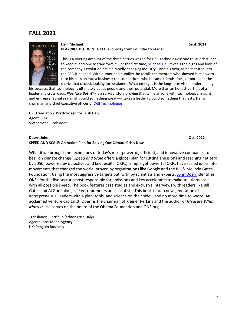# **FALL 2021**



#### **Dell, Michael Sept. 2021 PLAY NICE BUT WIN: A CEO's Journey from Founder to Leader**

This is a riveting account of the three battles waged for Dell Technologies: one to launch it, one to keep it, and one to transform it. For the first time[, Michael Dell](https://twitter.com/MichaelDell) reveals the highs and lows of the company's evolution amid a rapidly changing industry—and his own, as he matured into the CEO it needed. With humor and humility, he recalls the mentors who showed him how to turn his passion into a business; the competitors who became friends, foes, or both; and the sharks that circled, looking for weakness. What emerges is the long-term vision underpinning

his success: that technology is ultimately about people and their potential. More than an honest portrait of a leader at a crossroads, *Play Nice But Win* is a survival story proving that while anyone with technological insight and entrepreneurial zeal might build something great—it takes a leader to build something that lasts. Dell is chairman and chief executive officer of [Dell Technologies.](https://www.delltechnologies.com/)

UK, Translation: Portfolio (editor Trish Daly) Agent: UTA Vietnamese: Ecoblader

#### **Doerr, John Oct. 2021 SPEED AND SCALE: An Action Plan for Solving Our Climate Crisis Now**

What if we brought the techniques of today's most powerful, efficient, and innovative companies to bear on climate change? *Speed and Scale* offers a global plan for cutting emissions and reaching net zero by 2050, powered by objectives and key results (OKRs). Simple yet powerful OKRs have scaled ideas into movements that changed the world, proven by organizations like Google and the Bill & Melinda Gates Foundation. Using the most aggressive targets put forth by scientists and experts[, John Doerr](https://www.kleinerperkins.com/people/john-doerr/) identifies OKRs for the five sectors most responsible for emissions and key accelerants to make solutions scale with all possible speed. The book features case studies and exclusive interviews with leaders like Bill Gates and Al Gore alongside entrepreneurs and scientists. This book is for a new generation of entrepreneurial leaders with a plan, tools, and science on their side—and no more time to waste. An acclaimed venture capitalist, Doerr is the chairman of Kleiner Perkins and the author of *Measure What Matters*. He serves on the board of the Obama Foundation and ONE.org.

Translation: Portfolio (editor Trish Daly) Agent: Carol Mann Agency UK: Penguin Business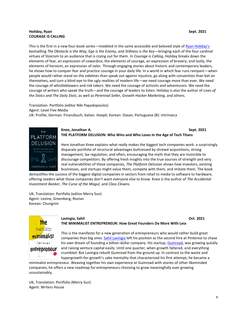#### **Holiday, Ryan Sept. 2021 COURAGE IS CALLING**

This is the first in a new four-book series—modeled in the same accessible and beloved style of [Ryan Holiday](https://ryanholiday.net/)'s bestselling *The Obstacle is the Way, Ego is the Enemy*, and *Stillness is the Key*—bringing each of the four cardinal virtues of Stoicism to an audience that is crying out for them. In *Courage is Calling*, Holiday breaks down the elements of fear, an expression of cowardice; the elements of courage, an expression of bravery; and lastly, the elements of heroism, an expression of valor. Through engaging stories about historic and contemporary leaders, he shows how to conquer fear and practice courage in your daily life. In a world in which fear runs rampant—when people would rather stand on the sidelines than speak out against injustice, go along with convention than bet on themselves, and turn a blind eye to the ugly realities of modern life—we need courage more than ever. We need the courage of whistleblowers and risk takers. We need the courage of activists and adventurers. We need the courage of writers who speak the truth—and the courage of leaders to listen. Holiday is also the author of *Lives of the Stoics* and *The Daily Stoic*, as well as *Perennial Seller, Growth Hacker Marketing*, and others.

Translation: Portfolio (editor Niki Papadopoulos) Agent: Level Five Media UK: Profile; German: Finanzbuch; Italian: Hoepli; Korean: Dasan; Portuguese (B): Intrinseca



#### **Knee, Jonathan A. Sept. 2021 THE PLATFORM DELUSION: Who Wins and Who Loses in the Age of Tech Titans**

Here Jonathan Knee explains what really makes the biggest tech companies work: a surprisingly disparate portfolio of structural advantages buttressed by shrewd acquisitions, strong management, lax regulation, and often, encouraging the myth that they are invincible to discourage competitors. By offering fresh insights into the true sources of strength and very real vulnerabilities of these companies, *The Platform Delusion* shows how investors, existing businesses, and startups might value them, compete with them, and imitate them. The book

demystifies the success of the biggest digital companies in sectors from retail to media to software to hardware, offering readers what those companies don't want everyone else to know. Knee is the author of *The Accidental Investment Banker*, *The Curse of the Mogul*, and *Class Clowns*.

UK, Translation: Portfolio (editor Merry Sun) Agent: Levine, Greenberg, Rostan Korean: Chungrim



#### **Lavingia, Sahil Oct. 2021 THE MINIMALIST ENTREPRENEUR: How Great Founders Do More With Less**

This is the manifesto for a new generation of entrepreneurs who would rather build great companies than big ones. [Sahil Lavingia](https://sahillavingia.com/) left his position as the second hire at Pinterest to chase his own dream of founding a billion-dollar company. His startup, [Gumroad,](https://gumroad.com/) was growing quickly and raising venture capital easily. Until one quarter, when growth faltered, and everything crumbled. But Lavingia rebuilt Gumroad from the ground up. In contrast to the waste and hypergrowth-for-growth's sake mentality that characterized his first attempt, he became a

minimalist entrepreneur. Weaving together his own experience at Gumroad with stories of other likeminded companies, he offers a new roadmap for entrepreneurs choosing to grow meaningfully over growing unsustainably.

UK, Translation: Portfolio (Merry Sun) Agent: Writers House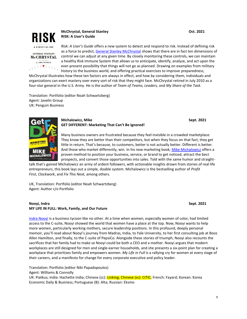

**GENERAL STANLEY McCHRYSTAL** & ANNA BUTBICO  $\sqrt{11111777}$  **McChrystal, General Stanley Oct. 2021 RISK: A User's Guide**

*Risk: A User's Guide* offers a new system to detect and respond to risk. Instead of defining risk as a force to predict, [General Stanley McChrystal](https://www.mcchrystalgroup.com/) shows that there are in fact ten dimensions of control we can adjust at any given time. By closely monitoring these controls, we can maintain a healthy Risk Immune System that allows us to anticipate, identify, analyze, and act upon the ever-present possibility that things will not go as planned. Drawing on examples from military history to the business world, and offering practical exercises to improve preparedness,

McChrystal illustrates how these ten factors are always in effect, and how by considering them, individuals and organizations can exert mastery over every sort of risk that they might face. McChrystal retired in July 2010 as a four-star general in the U.S. Army. He is the author of *Team of Teams, Leaders,* and *My Share of the Task*.

Translation: Portfolio (editor Noah Schwartzberg) Agent: Javelin Group UK: Penguin Business



#### **Michalowicz, Mike Sept. 2021 GET DIFFERENT: Marketing That Can't Be Ignored!**

Many business owners are frustrated because they feel invisible in a crowded marketplace. They know they are better than their competitors, but when they focus on that fact, they get little in return. That's because, to customers, better is not actually better. Different is better. And those who market differently, win. In his new marketing book[, Mike Michalowicz](https://mikemichalowicz.com/) offers a proven method to position your business, service, or brand to get noticed, attract the best prospects, and convert those opportunities into sales. Told with the same humor and straight-

talk that's gained Michalowicz an army of ardent followers, with actionable insights drawn from stories of real life entrepreneurs, this book lays out a simple, doable system. Michalowicz is the bestselling author of *Profit First*, *Clockwork*, and *Fix This Next,* among others.

UK, Translation: Portfolio (editor Noah Schwartzberg) Agent: Author c/o Portfolio

#### **Nooyi, Indra Sept. 2021 MY LIFE IN FULL: Work, Family, and Our Future**

[Indra Nooyi](https://twitter.com/IndraNooyi) is a business tycoon like no other. At a time when women, especially women of color, had limited access to the C-suite, Nooyi showed the world that women have a place at the top. Now, Nooyi wants to help more women, particularly working mothers, secure leadership positions. In this profound, deeply personal memoir, you'll read about Nooyi's journey from Madras, India, to Yale University, to her first consulting job at Booz Allen Hamilton, and finally, to the C-suite of PepsiCo. Alongside these stories of triumph, Nooyi also recounts the sacrifices that her family had to make so Nooyi could be both a CEO and a mother. Nooyi argues that modern workplaces are still designed for men and single-earner households, and she presents a six-point plan for creating a workplace that prioritizes family and empowers women. *My Life in Full* is a rallying cry for women at every stage of their careers, and a manifesto for change for every corporate executive and policy leader.

Translation: Portfolio (editor Niki Papadopoulos) Agent: Williams & Connolly

UK: Piatkus; India: Hachette India; Chinese (cc): Linking; Chinese (sc): CITIC; French: Fayard; Korean: Korea Economic Daily & Business; Portuguese (B): Alta; Russian: Eksmo

9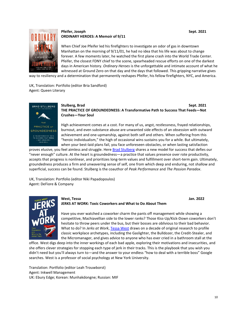

### **Pfeifer, Joseph Sept. 2021 ORDINARY HEROES: A Memoir of 9/11**

When Chief Joe Pfeifer led his firefighters to investigate an odor of gas in downtown Manhattan on the morning of 9/11/01, he had no idea that his life was about to change forever. A few moments later, he watched the first plane crash into the World Trade Center. Pfeifer, the closest FDNY chief to the scene, spearheaded rescue efforts on one of the darkest days in American history. *Ordinary Heroes* is the unforgettable and intimate account of what he witnessed at Ground Zero on that day and the days that followed. This gripping narrative gives

way to resiliency and a determination that permanently reshapes Pfeifer, his fellow firefighters, NYC, and America.

UK, Translation: Portfolio (editor Bria Sandford) Agent: Queen Literary



#### **Stulberg, Brad Sept. 2021 THE PRACTICE OF GROUNDEDNESS: A Transformative Path to Success That Feeds—Not Crushes—Your Soul**

High achievement comes at a cost. For many of us, angst, restlessness, frayed relationships, burnout, and even substance abuse are unwanted side effects of an obsession with outward achievement and one-upmanship, against both self and others. When suffering from this "heroic individualism," the high of occasional wins sustains you for a while. But ultimately, when your best-laid plans fail, you face unforeseen obstacles, or when lasting satisfaction

proves elusive, you feel aimless and struggle. Here [Brad Stulberg](https://www.bradstulberg.com/) shares a new model for success that defies our "never enough" culture. At the heart is groundedness—a practice that values presence over rote productivity, accepts that progress is nonlinear, and prioritizes long-term values and fulfillment over short-term gain. Ultimately, groundedness produces a firm and unwavering sense of self, one from which deep and enduring, not shallow and superficial, success can be found. Stulberg is the coauthor of *Peak Performance* and *The Passion Paradox*.

UK, Translation: Portfolio (editor Niki Papadopoulos) Agent: DeFiore & Company



#### **West, Tessa Jan. 2022 JERKS AT WORK: Toxic Coworkers and What to Do About Them**

Have you ever watched a coworker charm the pants off management while showing a competitive, Machiavellian side to the lower ranks? Those Kiss-Up/Kick-Down coworkers don't hesitate to throw peers under the bus, but their bosses are oblivious to their bad behavior. What to do? In *Jerks at Work*, [Tessa West](https://twitter.com/TessaWestNYU) draws on a decade of original research to profile classic workplace archetypes, including the Gaslighter, the Bulldozer, the Credit-Stealer, and the Micromanager, and gives advice to anyone who has ever cried in a bathroom stall at the

office. West digs deep into the inner workings of each bad apple, exploring their motivations and insecurities, and she offers clever strategies for stopping each type of jerk in their tracks. This is the playbook that you wish you didn't need but you'll always turn to—and the answer to your endless "how to deal with a terrible boss" Google searches. West is a professor of social psychology at New York University.

Translation: Portfolio (editor Leah Trouwborst) Agent: Inkwell Management UK: Ebury Edge; Korean: Munhakdongne; Russian: MIF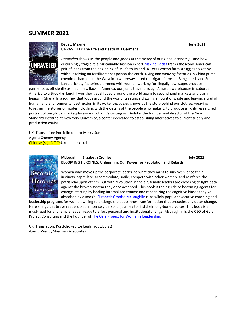## **SUMMER 2021**



#### **Bédat, Maxine June 2021 UNRAVELED: The Life and Death of a Garment**

*Unraveled* shows us the people and goods at the mercy of our global economy—and how disturbingly fragile it is. Sustainable fashion expert [Maxine Bédat](https://twitter.com/maxinebedat) tracks the iconic American pair of jeans from the beginning of its life to its end. A Texas cotton farm struggles to get by without relying on fertilizers that poison the earth. Dying and weaving factories in China pump chemicals banned in the West into waterways used to irrigate farms. In Bangladesh and Sri Lanka, rickety factories crammed with women working for illegally low wages produce

garments as efficiently as machines. Back in America, our jeans travel through Amazon warehouses in suburban America to a Brooklyn landfill—or they get shipped around the world again to secondhand markets and trash heaps in Ghana. In a journey that loops around the world, creating a dizzying amount of waste and leaving a trail of human and environmental destruction in its wake, *Unraveled* shows us the story behind our clothes, weaving together the stories of modern clothing with the details of the people who make it, to produce a richly researched portrait of our global marketplace—and what it's costing us. Bédat is the founder and director of the New Standard Institute at New York University, a center dedicated to establishing alternatives to current supply and production chains.

UK, Translation: Portfolio (editor Merry Sun) Agent: Cheney Agency Chinese (sc): CITIC; Ukrainian: Yakaboo



#### **McLoughlin, Elizabeth Cronise July 2021 BECOMING HEROINES: Unleashing Our Power for Revolution and Rebirth**

Women who move up the corporate ladder do what they must to survive: silence their instincts, capitulate, accommodate, smile, compete with other women, and reinforce the patriarchy upon others. But with revolution in the air, female leaders are choosing to fight back against the broken system they once accepted. This book is their guide to becoming agents for change, starting by healing internalized trauma and recognizing the cognitive biases they've absorbed by osmosis. [Elizabeth Cronise McLaughlin](https://twitter.com/ECMcLaughlin) runs wildly popular executive coaching and

leadership programs for women willing to undergo the deep inner transformation that precedes any outer change. Here she guides brave readers on an intensely personal journey to find their long-buried voices. This book is a must-read for any female leader ready to effect personal and institutional change. McLaughlin is the CEO of Gaia Project Consulting and the Founder o[f The Gaia Project for Women](https://gaialeadershipproject.com/)'s Leadership.

UK, Translation: Portfolio (editor Leah Trouwborst) Agent: Wendy Sherman Associates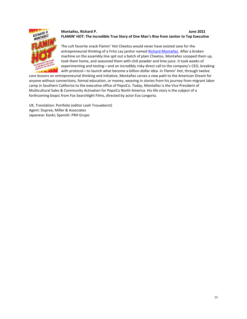## **Montañez, Richard P. June 2021 FLAMIN' HOT: The Incredible True Story of One Man's Rise from Janitor to Top Executive**



The cult favorite snack Flamin' Hot Cheetos would never have existed save for the entrepreneurial thinking of a Frito Lay janitor name[d Richard Montañez.](https://twitter.com/RPMontanez) After a broken machine on the assembly line spit out a batch of plain Cheetos, Montañez scooped them up, took them home, and seasoned them with chili powder and lime juice. It took weeks of experimenting and testing—and an incredibly risky direct call to the company's CEO, breaking with protocol—to launch what become a billion-dollar idea. In *Flamin' Hot*, through twelve

core lessons on entrepreneurial thinking and initiative, Montañez carves a new path to the American Dream for anyone without connections, formal education, or money, weaving in stories from his journey from migrant labor camp in Southern California to the executive office of PepsiCo. Today, Montañez is the Vice President of Multicultural Sales & Community Activation for PepsiCo North America. His life story is the subject of a forthcoming biopic from Fox Searchlight Films, directed by actor Eva Longoria.

UK, Translation: Portfolio (editor Leah Trouwborst) Agent: Dupree, Miller & Associates Japanese: Kanki; Spanish: PRH Grupo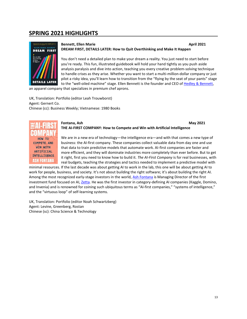# **SPRING 2021 HIGHLIGHTS**



#### **Bennett, Ellen Marie April 2021 DREAM FIRST, DETAILS LATER: How to Quit Overthinking and Make It Happen**

You don't need a detailed plan to make your dream a reality. You just need to start before you're ready. This fun, illustrated guidebook will hold your hand tightly as you push aside analysis paralysis and dive into action, teaching you every creative problem-solving technique to handle crises as they arise. Whether you want to start a multi-million-dollar company or just pilot a risky idea, you'll learn how to transition from the "flying by the seat of your pants" stage to the "well-oiled machine" stage. Ellen Bennett is the founder and CEO o[f Hedley & Bennett,](https://www.hedleyandbennett.com/)

an apparel company that specializes in premium chef aprons.

UK, Translation: Portfolio (editor Leah Trouwborst) Agent: Gernert Co. Chinese (cc): Business Weekly; Vietnamese: 1980 Books



#### **Fontana, Ash May 2021 THE AI-FIRST COMPANY: How to Compete and Win with Artificial Intelligence**

We are in a new era of technology—the intelligence era—and with that comes a new type of business: the AI-first company. These companies collect valuable data from day one and use that data to train predictive models that automate work. AI-first companies are faster and more efficient, and they will dominate industries more completely than ever before. But to get it right, first you need to know how to build it. *The AI-First Company* is for real businesses, with real budgets, teaching the strategies and tactics needed to implement a predictive model with

minimal resources. If the last decade was about getting AI to work in the lab, this one will be about getting AI to work for people, business, and society. It's not about building the right software; it's about building the right AI. Among the most recognized early-stage investors in the world, [Ash Fontana](https://ashfontana.com/) is Managing Director of the first investment fund focused on AI, [Zetta.](https://www.zettavp.com/) He was the first investor in category-defining AI companies (Kaggle, Domino, and Invenia) and is renowned for coining such ubiquitous terms as "AI-first companies," "systems of intelligence," and the "virtuous loop" of self-learning systems.

UK, Translation: Portfolio (editor Noah Schwartzberg) Agent: Levine, Greenberg, Rostan Chinese (sc): China Science & Technology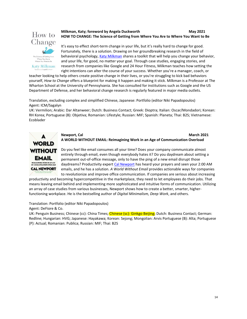

#### **Milkman, Katy; foreword by Angela Duckworth <b>May** 2021 **HOW TO CHANGE: The Science of Getting from Where You Are to Where You Want to Be**

It's easy to effect short-term change in your life, but it's really hard to change for good. Fortunately, there is a solution. Drawing on her groundbreaking research in the field of behavioral psychology, Katy [Milkman](http://www.katherinemilkman.com/) shares a toolkit that will help you change your behavior, and your life, for good, no matter your goal. Through case studies, engaging stories, and research from companies like Google and 24 Hour Fitness, Milkman teaches how setting the right intentions can alter the course of your success. Whether you're a manager, coach, or

teacher looking to help others create positive change in their lives, or you're struggling to kick bad behaviors yourself, *How to Change* offers a blueprint for making it happen and making it stick. Milkman is a Professor at The Wharton School at the University of Pennsylvania. She has consulted for institutions such as Google and the US Department of Defense, and her behavioral change research is regularly featured in major media outlets.

Translation, excluding complex and simplified Chinese, Japanese: Portfolio (editor Niki Papadopoulos) Agent: ICM/Sagalyn

UK: Vermilion; Arabic: Dar Altanweer; Dutch: Business Contact; Greek: Dioptra; Italian: Oscar/Mondadori; Korean: RH Korea; Portuguese (B): Objetiva; Romanian: Lifestyle; Russian: MIF; Spanish: Planeta; Thai: B2S; Vietnamese: Ecoblader



### **Newport, Cal March 2021 A WORLD WITHOUT EMAIL: Reimagining Work in an Age of Communication Overload**

Do you feel like email consumes all your time? Does your company communicate almost entirely through email, even though everybody hates it? Do you daydream about setting a permanent out-of-office message, only to have the ping of a new email disrupt those daydreams? Productivity expert [Cal Newport](https://www.calnewport.com/) has heard your prayers and seen your 2:00 AM emails, and he has a solution. *A World Without Email* provides actionable ways for companies to revolutionize and improve office communication. If companies are serious about increasing

productivity and becoming hypercompetitive in the marketplace, they need to let employees do their jobs. That means leaving email behind and implementing more sophisticated and intuitive forms of communication. Utilizing an array of case studies from various businesses, Newport shows how to create a better, smarter, higherfunctioning workplace. He is the bestselling author of *Digital Minimalism, Deep Work*, and others.

Translation: Portfolio (editor Niki Papadopoulos)

Agent: DeFiore & Co.

UK: Penguin Business; Chinese (cc): China Times; Chinese (sc): Ginkgo Beijing; Dutch: Business Contact; German: Redline; Hungarian: HVG; Japanese: Hayakawa; Korean: Sejong; Mongolian: Arvis Portuguese (B): Alta; Portuguese (P): Actual; Romanian: Publica; Russian: MIF; Thai: B2S